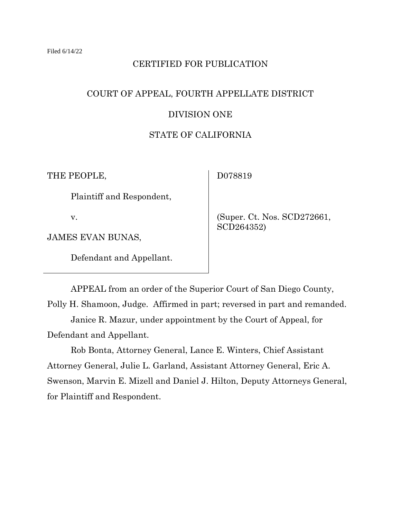#### CERTIFIED FOR PUBLICATION

# COURT OF APPEAL, FOURTH APPELLATE DISTRICT DIVISION ONE

# STATE OF CALIFORNIA

THE PEOPLE,

D078819

Plaintiff and Respondent,

v.

JAMES EVAN BUNAS,

Defendant and Appellant.

 (Super. Ct. Nos. SCD272661, SCD264352)

APPEAL from an order of the Superior Court of San Diego County, Polly H. Shamoon, Judge. Affirmed in part; reversed in part and remanded. Janice R. Mazur, under appointment by the Court of Appeal, for

Defendant and Appellant.

Rob Bonta, Attorney General, Lance E. Winters, Chief Assistant Attorney General, Julie L. Garland, Assistant Attorney General, Eric A. Swenson, Marvin E. Mizell and Daniel J. Hilton, Deputy Attorneys General, for Plaintiff and Respondent.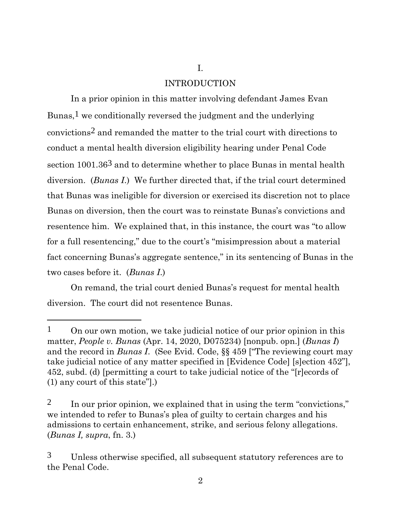# INTRODUCTION

I.

In a prior opinion in this matter involving defendant James Evan Bunas,1 we conditionally reversed the judgment and the underlying convictions2 and remanded the matter to the trial court with directions to conduct a mental health diversion eligibility hearing under Penal Code section  $1001.36<sup>3</sup>$  and to determine whether to place Bunas in mental health diversion. (*Bunas I*.) We further directed that, if the trial court determined that Bunas was ineligible for diversion or exercised its discretion not to place Bunas on diversion, then the court was to reinstate Bunas's convictions and resentence him. We explained that, in this instance, the court was "to allow for a full resentencing," due to the court's "misimpression about a material fact concerning Bunas's aggregate sentence," in its sentencing of Bunas in the two cases before it. (*Bunas I*.)

On remand, the trial court denied Bunas's request for mental health diversion. The court did not resentence Bunas.

2

<sup>&</sup>lt;sup>1</sup> On our own motion, we take judicial notice of our prior opinion in this matter, *People v. Bunas* (Apr. 14, 2020, D075234) [nonpub. opn.] (*Bunas I*) and the record in *Bunas I*. (See Evid. Code, §§ 459 ["The reviewing court may take judicial notice of any matter specified in [Evidence Code] [s]ection 452"], 452, subd. (d) [permitting a court to take judicial notice of the "[r]ecords of (1) any court of this state"].)

<sup>2</sup> In our prior opinion, we explained that in using the term "convictions," we intended to refer to Bunas's plea of guilty to certain charges and his admissions to certain enhancement, strike, and serious felony allegations. (*Bunas I, supra*, fn. 3.)

<sup>3</sup> Unless otherwise specified, all subsequent statutory references are to the Penal Code.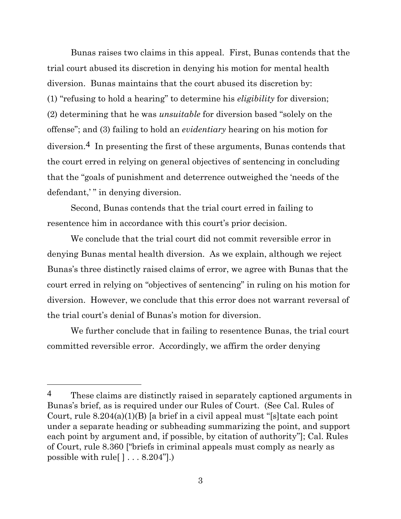Bunas raises two claims in this appeal. First, Bunas contends that the trial court abused its discretion in denying his motion for mental health diversion. Bunas maintains that the court abused its discretion by: (1) "refusing to hold a hearing" to determine his *eligibility* for diversion; (2) determining that he was *unsuitable* for diversion based "solely on the offense"; and (3) failing to hold an *evidentiary* hearing on his motion for diversion.4 In presenting the first of these arguments, Bunas contends that the court erred in relying on general objectives of sentencing in concluding that the "goals of punishment and deterrence outweighed the 'needs of the defendant," in denying diversion.

Second, Bunas contends that the trial court erred in failing to resentence him in accordance with this court's prior decision.

We conclude that the trial court did not commit reversible error in denying Bunas mental health diversion. As we explain, although we reject Bunas's three distinctly raised claims of error, we agree with Bunas that the court erred in relying on "objectives of sentencing" in ruling on his motion for diversion. However, we conclude that this error does not warrant reversal of the trial court's denial of Bunas's motion for diversion.

We further conclude that in failing to resentence Bunas, the trial court committed reversible error. Accordingly, we affirm the order denying

<sup>&</sup>lt;sup>4</sup> These claims are distinctly raised in separately captioned arguments in Bunas's brief, as is required under our Rules of Court. (See Cal. Rules of Court, rule 8.204(a)(1)(B) [a brief in a civil appeal must "[s]tate each point under a separate heading or subheading summarizing the point, and support each point by argument and, if possible, by citation of authority"]; Cal. Rules of Court, rule 8.360 ["briefs in criminal appeals must comply as nearly as possible with rule  $[\cdot \cdot \cdot 8.204$ ".)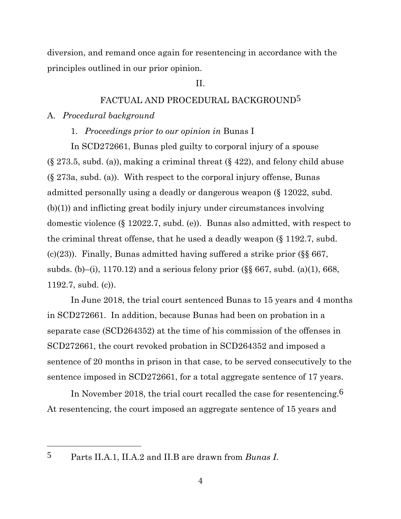diversion, and remand once again for resentencing in accordance with the principles outlined in our prior opinion.

#### II.

# FACTUAL AND PROCEDURAL BACKGROUND5

#### A. *Procedural background*

1. *Proceedings prior to our opinion in* Bunas I

In SCD272661, Bunas pled guilty to corporal injury of a spouse  $(\S 273.5, \text{subd. (a)})$ , making a criminal threat  $(\S 422)$ , and felony child abuse (§ 273a, subd. (a)). With respect to the corporal injury offense, Bunas admitted personally using a deadly or dangerous weapon (§ 12022, subd. (b)(1)) and inflicting great bodily injury under circumstances involving domestic violence (§ 12022.7, subd. (e)). Bunas also admitted, with respect to the criminal threat offense, that he used a deadly weapon (§ 1192.7, subd. (c)(23)). Finally, Bunas admitted having suffered a strike prior  $(\S \S 667,$ subds. (b)–(i), 1170.12) and a serious felony prior  $(\S\S 667, \text{subd.} (a)(1), 668,$ 1192.7, subd. (c)).

In June 2018, the trial court sentenced Bunas to 15 years and 4 months in SCD272661. In addition, because Bunas had been on probation in a separate case (SCD264352) at the time of his commission of the offenses in SCD272661, the court revoked probation in SCD264352 and imposed a sentence of 20 months in prison in that case, to be served consecutively to the sentence imposed in SCD272661, for a total aggregate sentence of 17 years.

In November 2018, the trial court recalled the case for resentencing.6 At resentencing, the court imposed an aggregate sentence of 15 years and

5 Parts II.A.1, II.A.2 and II.B are drawn from *Bunas I*.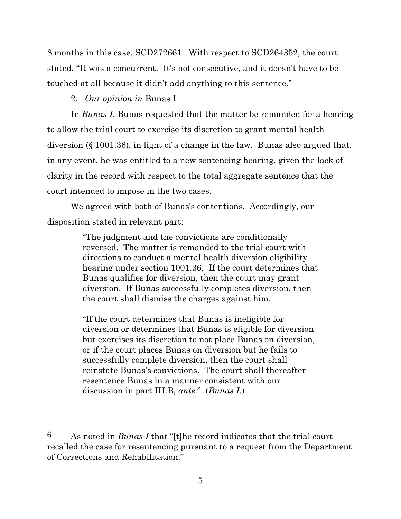8 months in this case, SCD272661. With respect to SCD264352, the court stated, "It was a concurrent. It's not consecutive, and it doesn't have to be touched at all because it didn't add anything to this sentence."

2. *Our opinion in* Bunas I

In *Bunas I*, Bunas requested that the matter be remanded for a hearing to allow the trial court to exercise its discretion to grant mental health diversion (§ 1001.36), in light of a change in the law. Bunas also argued that, in any event, he was entitled to a new sentencing hearing, given the lack of clarity in the record with respect to the total aggregate sentence that the court intended to impose in the two cases.

We agreed with both of Bunas's contentions. Accordingly, our disposition stated in relevant part:

> "The judgment and the convictions are conditionally reversed. The matter is remanded to the trial court with directions to conduct a mental health diversion eligibility hearing under section 1001.36. If the court determines that Bunas qualifies for diversion, then the court may grant diversion. If Bunas successfully completes diversion, then the court shall dismiss the charges against him.

"If the court determines that Bunas is ineligible for diversion or determines that Bunas is eligible for diversion but exercises its discretion to not place Bunas on diversion, or if the court places Bunas on diversion but he fails to successfully complete diversion, then the court shall reinstate Bunas's convictions. The court shall thereafter resentence Bunas in a manner consistent with our discussion in part III.B, *ante.*" (*Bunas I*.)

<sup>6</sup> As noted in *Bunas I* that "[t]he record indicates that the trial court recalled the case for resentencing pursuant to a request from the Department of Corrections and Rehabilitation."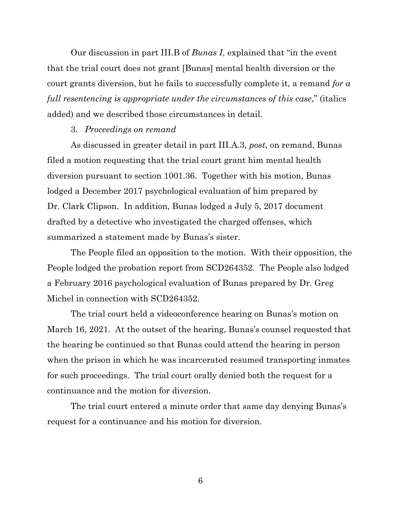Our discussion in part III.B of *Bunas I*, explained that "in the event that the trial court does not grant [Bunas] mental health diversion or the court grants diversion, but he fails to successfully complete it, a remand *for a full resentencing is appropriate under the circumstances of this case*," (italics added) and we described those circumstances in detail.

#### 3. *Proceedings on remand*

As discussed in greater detail in part III.A.3, *post*, on remand, Bunas filed a motion requesting that the trial court grant him mental health diversion pursuant to section 1001.36. Together with his motion, Bunas lodged a December 2017 psychological evaluation of him prepared by Dr. Clark Clipson. In addition, Bunas lodged a July 5, 2017 document drafted by a detective who investigated the charged offenses, which summarized a statement made by Bunas's sister.

The People filed an opposition to the motion. With their opposition, the People lodged the probation report from SCD264352. The People also lodged a February 2016 psychological evaluation of Bunas prepared by Dr. Greg Michel in connection with SCD264352.

The trial court held a videoconference hearing on Bunas's motion on March 16, 2021. At the outset of the hearing, Bunas's counsel requested that the hearing be continued so that Bunas could attend the hearing in person when the prison in which he was incarcerated resumed transporting inmates for such proceedings. The trial court orally denied both the request for a continuance and the motion for diversion.

The trial court entered a minute order that same day denying Bunas's request for a continuance and his motion for diversion.

6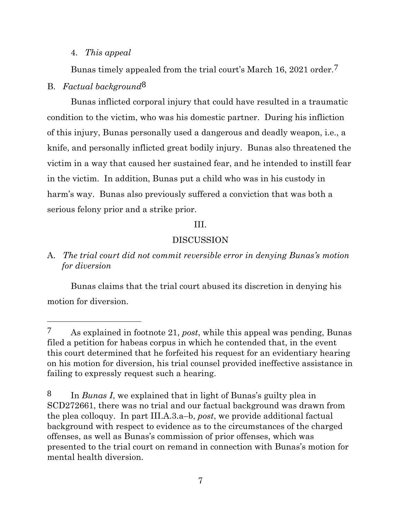# 4. *This appeal*

Bunas timely appealed from the trial court's March 16, 2021 order.<sup>7</sup>

# B. *Factual background*8

Bunas inflicted corporal injury that could have resulted in a traumatic condition to the victim, who was his domestic partner. During his infliction of this injury, Bunas personally used a dangerous and deadly weapon, i.e., a knife, and personally inflicted great bodily injury. Bunas also threatened the victim in a way that caused her sustained fear, and he intended to instill fear in the victim. In addition, Bunas put a child who was in his custody in harm's way. Bunas also previously suffered a conviction that was both a serious felony prior and a strike prior.

# III.

# DISCUSSION

A. *The trial court did not commit reversible error in denying Bunas's motion for diversion*

Bunas claims that the trial court abused its discretion in denying his motion for diversion.

<sup>7</sup> As explained in footnote 21, *post*, while this appeal was pending, Bunas filed a petition for habeas corpus in which he contended that, in the event this court determined that he forfeited his request for an evidentiary hearing on his motion for diversion, his trial counsel provided ineffective assistance in failing to expressly request such a hearing.

<sup>8</sup> In *Bunas I*, we explained that in light of Bunas's guilty plea in SCD272661, there was no trial and our factual background was drawn from the plea colloquy. In part III.A.3.a–b, *post*, we provide additional factual background with respect to evidence as to the circumstances of the charged offenses, as well as Bunas's commission of prior offenses, which was presented to the trial court on remand in connection with Bunas's motion for mental health diversion.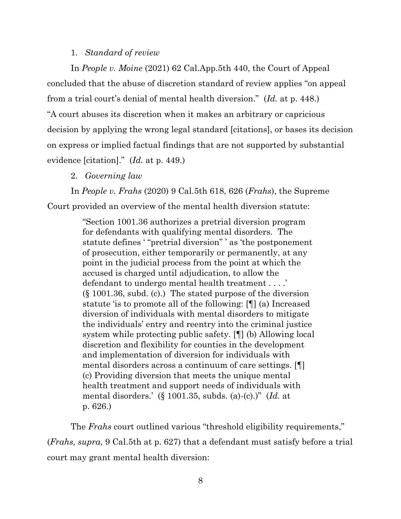#### 1. *Standard of review*

In *People v. Moine* (2021) 62 Cal.App.5th 440, the Court of Appeal concluded that the abuse of discretion standard of review applies "on appeal from a trial court's denial of mental health diversion." (*Id.* at p. 448.) "A court abuses its discretion when it makes an arbitrary or capricious decision by applying the wrong legal standard [citations], or bases its decision on express or implied factual findings that are not supported by substantial evidence [citation]." (*Id.* at p. 449.)

2. *Governing law*

In *People v. Frahs* (2020) 9 Cal.5th 618, 626 (*Frahs*), the Supreme Court provided an overview of the mental health diversion statute:

> "Section 1001.36 authorizes a pretrial diversion program for defendants with qualifying mental disorders. The statute defines ' "pretrial diversion" ' as 'the postponement of prosecution, either temporarily or permanently, at any point in the judicial process from the point at which the accused is charged until adjudication, to allow the defendant to undergo mental health treatment . . . .' (§ 1001.36, subd. (c).) The stated purpose of the diversion statute 'is to promote all of the following: [¶] (a) Increased diversion of individuals with mental disorders to mitigate the individuals' entry and reentry into the criminal justice system while protecting public safety. [¶] (b) Allowing local discretion and flexibility for counties in the development and implementation of diversion for individuals with mental disorders across a continuum of care settings. [¶] (c) Providing diversion that meets the unique mental health treatment and support needs of individuals with mental disorders.' (§ 1001.35, subds. (a)-(c).)" (*Id.* at p. 626.)

The *Frahs* court outlined various "threshold eligibility requirements," (*Frahs, supra*, 9 Cal.5th at p. 627) that a defendant must satisfy before a trial court may grant mental health diversion: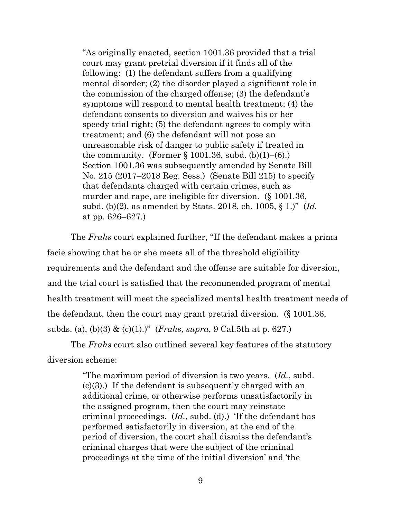"As originally enacted, section 1001.36 provided that a trial court may grant pretrial diversion if it finds all of the following: (1) the defendant suffers from a qualifying mental disorder; (2) the disorder played a significant role in the commission of the charged offense; (3) the defendant's symptoms will respond to mental health treatment; (4) the defendant consents to diversion and waives his or her speedy trial right; (5) the defendant agrees to comply with treatment; and (6) the defendant will not pose an unreasonable risk of danger to public safety if treated in the community. (Former  $\S 1001.36$ , subd. (b)(1)–(6).) Section 1001.36 was subsequently amended by Senate Bill No. 215 (2017–2018 Reg. Sess.) (Senate Bill 215) to specify that defendants charged with certain crimes, such as murder and rape, are ineligible for diversion. (§ 1001.36, subd. (b)(2), as amended by Stats. 2018, ch. 1005, § 1.)" (*Id.* at pp. 626–627.)

The *Frahs* court explained further, "If the defendant makes a prima facie showing that he or she meets all of the threshold eligibility requirements and the defendant and the offense are suitable for diversion, and the trial court is satisfied that the recommended program of mental health treatment will meet the specialized mental health treatment needs of the defendant, then the court may grant pretrial diversion. (§ 1001.36, subds. (a), (b)(3) & (c)(1).)" (*Frahs, supra*, 9 Cal.5th at p. 627.)

The *Frahs* court also outlined several key features of the statutory diversion scheme:

> "The maximum period of diversion is two years. (*Id.*, subd. (c)(3).) If the defendant is subsequently charged with an additional crime, or otherwise performs unsatisfactorily in the assigned program, then the court may reinstate criminal proceedings. (*Id.*, subd. (d).) 'If the defendant has performed satisfactorily in diversion, at the end of the period of diversion, the court shall dismiss the defendant's criminal charges that were the subject of the criminal proceedings at the time of the initial diversion' and 'the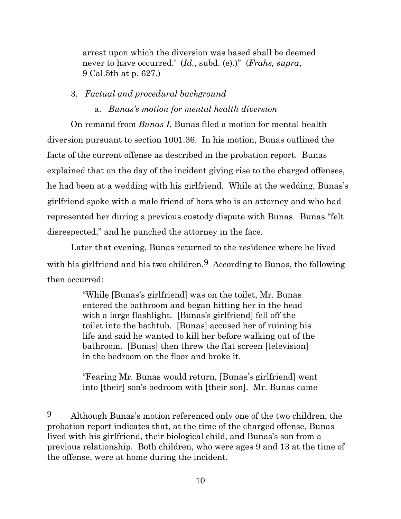arrest upon which the diversion was based shall be deemed never to have occurred.' (*Id.*, subd. (e).)" (*Frahs, supra*, 9 Cal.5th at p. 627.)

#### 3. *Factual and procedural background*

a. *Bunas's motion for mental health diversion*

On remand from *Bunas I*, Bunas filed a motion for mental health diversion pursuant to section 1001.36. In his motion, Bunas outlined the facts of the current offense as described in the probation report. Bunas explained that on the day of the incident giving rise to the charged offenses, he had been at a wedding with his girlfriend. While at the wedding, Bunas's girlfriend spoke with a male friend of hers who is an attorney and who had represented her during a previous custody dispute with Bunas. Bunas "felt disrespected," and he punched the attorney in the face.

Later that evening, Bunas returned to the residence where he lived with his girlfriend and his two children.9 According to Bunas, the following then occurred:

> "While [Bunas's girlfriend] was on the toilet, Mr. Bunas entered the bathroom and began hitting her in the head with a large flashlight. [Bunas's girlfriend] fell off the toilet into the bathtub. [Bunas] accused her of ruining his life and said he wanted to kill her before walking out of the bathroom. [Bunas] then threw the flat screen [television] in the bedroom on the floor and broke it.

"Fearing Mr. Bunas would return, [Bunas's girlfriend] went into [their] son's bedroom with [their son]. Mr. Bunas came

<sup>9</sup> Although Bunas's motion referenced only one of the two children, the probation report indicates that, at the time of the charged offense, Bunas lived with his girlfriend, their biological child, and Bunas's son from a previous relationship. Both children, who were ages 9 and 13 at the time of the offense, were at home during the incident.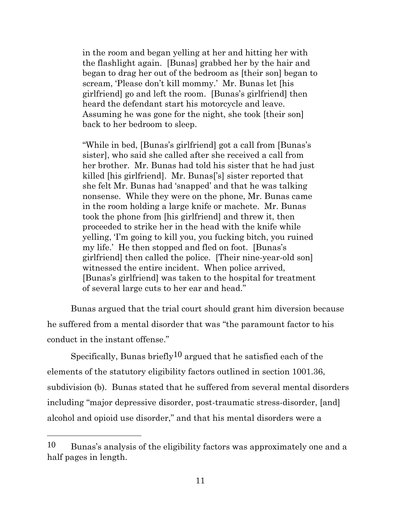in the room and began yelling at her and hitting her with the flashlight again. [Bunas] grabbed her by the hair and began to drag her out of the bedroom as [their son] began to scream, 'Please don't kill mommy.' Mr. Bunas let [his girlfriend] go and left the room. [Bunas's girlfriend] then heard the defendant start his motorcycle and leave. Assuming he was gone for the night, she took [their son] back to her bedroom to sleep.

"While in bed, [Bunas's girlfriend] got a call from [Bunas's sister], who said she called after she received a call from her brother. Mr. Bunas had told his sister that he had just killed [his girlfriend]. Mr. Bunas['s] sister reported that she felt Mr. Bunas had 'snapped' and that he was talking nonsense. While they were on the phone, Mr. Bunas came in the room holding a large knife or machete. Mr. Bunas took the phone from [his girlfriend] and threw it, then proceeded to strike her in the head with the knife while yelling, 'I'm going to kill you, you fucking bitch, you ruined my life.' He then stopped and fled on foot. [Bunas's girlfriend] then called the police. [Their nine-year-old son] witnessed the entire incident. When police arrived, [Bunas's girlfriend] was taken to the hospital for treatment of several large cuts to her ear and head."

Bunas argued that the trial court should grant him diversion because he suffered from a mental disorder that was "the paramount factor to his conduct in the instant offense."

Specifically, Bunas briefly<sup>10</sup> argued that he satisfied each of the elements of the statutory eligibility factors outlined in section 1001.36, subdivision (b). Bunas stated that he suffered from several mental disorders including "major depressive disorder, post-traumatic stress-disorder, [and] alcohol and opioid use disorder," and that his mental disorders were a

<sup>10</sup> Bunas's analysis of the eligibility factors was approximately one and a half pages in length.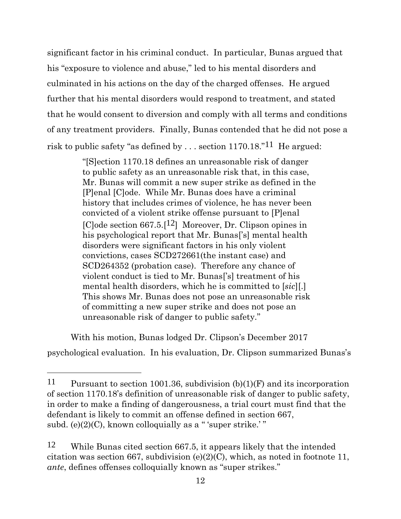significant factor in his criminal conduct. In particular, Bunas argued that his "exposure to violence and abuse," led to his mental disorders and culminated in his actions on the day of the charged offenses. He argued further that his mental disorders would respond to treatment, and stated that he would consent to diversion and comply with all terms and conditions of any treatment providers. Finally, Bunas contended that he did not pose a risk to public safety "as defined by . . . section 1170.18."11 He argued:

> "[S]ection 1170.18 defines an unreasonable risk of danger to public safety as an unreasonable risk that, in this case, Mr. Bunas will commit a new super strike as defined in the [P]enal [C]ode. While Mr. Bunas does have a criminal history that includes crimes of violence, he has never been convicted of a violent strike offense pursuant to [P]enal [C]ode section 667.5.[12] Moreover, Dr. Clipson opines in his psychological report that Mr. Bunas['s] mental health disorders were significant factors in his only violent convictions, cases SCD272661(the instant case) and SCD264352 (probation case). Therefore any chance of violent conduct is tied to Mr. Bunas['s] treatment of his mental health disorders, which he is committed to [*sic*][.] This shows Mr. Bunas does not pose an unreasonable risk of committing a new super strike and does not pose an unreasonable risk of danger to public safety."

With his motion, Bunas lodged Dr. Clipson's December 2017 psychological evaluation. In his evaluation, Dr. Clipson summarized Bunas's

<sup>11</sup> Pursuant to section 1001.36, subdivision (b)(1)(F) and its incorporation of section 1170.18's definition of unreasonable risk of danger to public safety, in order to make a finding of dangerousness, a trial court must find that the defendant is likely to commit an offense defined in section 667, subd.  $(e)(2)(C)$ , known colloquially as a "'super strike.'"

<sup>12</sup> While Bunas cited section 667.5, it appears likely that the intended citation was section 667, subdivision (e)(2)(C), which, as noted in footnote 11, *ante*, defines offenses colloquially known as "super strikes."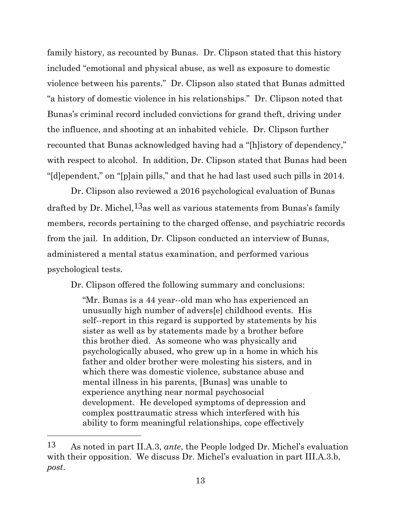family history, as recounted by Bunas. Dr. Clipson stated that this history included "emotional and physical abuse, as well as exposure to domestic violence between his parents." Dr. Clipson also stated that Bunas admitted "a history of domestic violence in his relationships." Dr. Clipson noted that Bunas's criminal record included convictions for grand theft, driving under the influence, and shooting at an inhabited vehicle. Dr. Clipson further recounted that Bunas acknowledged having had a "[h]istory of dependency," with respect to alcohol. In addition, Dr. Clipson stated that Bunas had been "[d]ependent," on "[p]ain pills," and that he had last used such pills in 2014.

Dr. Clipson also reviewed a 2016 psychological evaluation of Bunas drafted by Dr. Michel,  $13$ <sub>as</sub> well as various statements from Bunas's family members, records pertaining to the charged offense, and psychiatric records from the jail. In addition, Dr. Clipson conducted an interview of Bunas, administered a mental status examination, and performed various psychological tests.

Dr. Clipson offered the following summary and conclusions:

"Mr. Bunas is a 44 year--old man who has experienced an unusually high number of advers[e] childhood events. His self--report in this regard is supported by statements by his sister as well as by statements made by a brother before this brother died. As someone who was physically and psychologically abused, who grew up in a home in which his father and older brother were molesting his sisters, and in which there was domestic violence, substance abuse and mental illness in his parents, [Bunas] was unable to experience anything near normal psychosocial development. He developed symptoms of depression and complex posttraumatic stress which interfered with his ability to form meaningful relationships, cope effectively

<sup>13</sup> As noted in part II.A.3, *ante*, the People lodged Dr. Michel's evaluation with their opposition. We discuss Dr. Michel's evaluation in part III.A.3.b, *post*.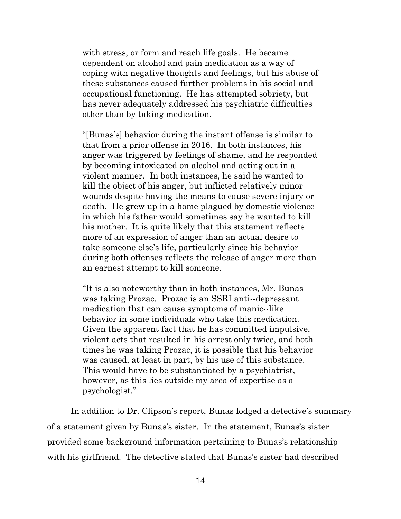with stress, or form and reach life goals. He became dependent on alcohol and pain medication as a way of coping with negative thoughts and feelings, but his abuse of these substances caused further problems in his social and occupational functioning. He has attempted sobriety, but has never adequately addressed his psychiatric difficulties other than by taking medication.

"[Bunas's] behavior during the instant offense is similar to that from a prior offense in 2016. In both instances, his anger was triggered by feelings of shame, and he responded by becoming intoxicated on alcohol and acting out in a violent manner. In both instances, he said he wanted to kill the object of his anger, but inflicted relatively minor wounds despite having the means to cause severe injury or death. He grew up in a home plagued by domestic violence in which his father would sometimes say he wanted to kill his mother. It is quite likely that this statement reflects more of an expression of anger than an actual desire to take someone else's life, particularly since his behavior during both offenses reflects the release of anger more than an earnest attempt to kill someone.

"It is also noteworthy than in both instances, Mr. Bunas was taking Prozac. Prozac is an SSRI anti--depressant medication that can cause symptoms of manic--like behavior in some individuals who take this medication. Given the apparent fact that he has committed impulsive, violent acts that resulted in his arrest only twice, and both times he was taking Prozac, it is possible that his behavior was caused, at least in part, by his use of this substance. This would have to be substantiated by a psychiatrist, however, as this lies outside my area of expertise as a psychologist."

In addition to Dr. Clipson's report, Bunas lodged a detective's summary of a statement given by Bunas's sister. In the statement, Bunas's sister provided some background information pertaining to Bunas's relationship with his girlfriend. The detective stated that Bunas's sister had described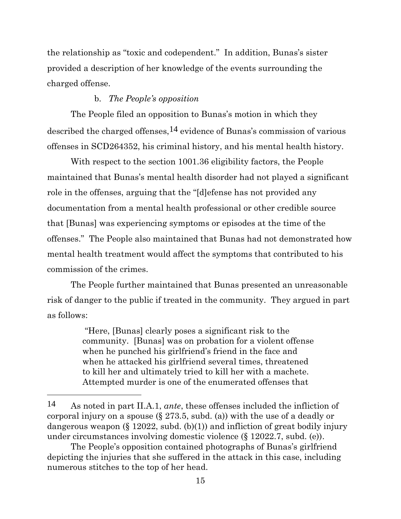the relationship as "toxic and codependent." In addition, Bunas's sister provided a description of her knowledge of the events surrounding the charged offense.

# b. *The People's opposition*

The People filed an opposition to Bunas's motion in which they described the charged offenses,  $14$  evidence of Bunas's commission of various offenses in SCD264352, his criminal history, and his mental health history.

With respect to the section 1001.36 eligibility factors, the People maintained that Bunas's mental health disorder had not played a significant role in the offenses, arguing that the "[d]efense has not provided any documentation from a mental health professional or other credible source that [Bunas] was experiencing symptoms or episodes at the time of the offenses." The People also maintained that Bunas had not demonstrated how mental health treatment would affect the symptoms that contributed to his commission of the crimes.

The People further maintained that Bunas presented an unreasonable risk of danger to the public if treated in the community. They argued in part as follows:

> "Here, [Bunas] clearly poses a significant risk to the community. [Bunas] was on probation for a violent offense when he punched his girlfriend's friend in the face and when he attacked his girlfriend several times, threatened to kill her and ultimately tried to kill her with a machete. Attempted murder is one of the enumerated offenses that

<sup>14</sup> As noted in part II.A.1, *ante*, these offenses included the infliction of corporal injury on a spouse (§ 273.5, subd. (a)) with the use of a deadly or dangerous weapon  $(\S 12022, \text{subd.} (b)(1))$  and infliction of great bodily injury under circumstances involving domestic violence (§ 12022.7, subd. (e)).

The People's opposition contained photographs of Bunas's girlfriend depicting the injuries that she suffered in the attack in this case, including numerous stitches to the top of her head.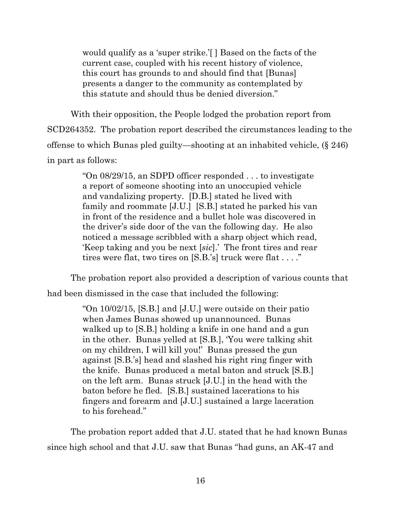would qualify as a 'super strike.'[ ] Based on the facts of the current case, coupled with his recent history of violence, this court has grounds to and should find that [Bunas] presents a danger to the community as contemplated by this statute and should thus be denied diversion."

With their opposition, the People lodged the probation report from SCD264352. The probation report described the circumstances leading to the offense to which Bunas pled guilty—shooting at an inhabited vehicle, (§ 246) in part as follows:

> "On 08/29/15, an SDPD officer responded . . . to investigate a report of someone shooting into an unoccupied vehicle and vandalizing property. [D.B.] stated he lived with family and roommate [J.U.] [S.B.] stated he parked his van in front of the residence and a bullet hole was discovered in the driver's side door of the van the following day. He also noticed a message scribbled with a sharp object which read, 'Keep taking and you be next [*sic*].' The front tires and rear tires were flat, two tires on [S.B.'s] truck were flat . . . ."

The probation report also provided a description of various counts that

had been dismissed in the case that included the following:

"On 10/02/15, [S.B.] and [J.U.] were outside on their patio when James Bunas showed up unannounced. Bunas walked up to [S.B.] holding a knife in one hand and a gun in the other. Bunas yelled at [S.B.], 'You were talking shit on my children, I will kill you!' Bunas pressed the gun against [S.B.'s] head and slashed his right ring finger with the knife. Bunas produced a metal baton and struck [S.B.] on the left arm. Bunas struck [J.U.] in the head with the baton before he fled. [S.B.] sustained lacerations to his fingers and forearm and [J.U.] sustained a large laceration to his forehead."

The probation report added that J.U. stated that he had known Bunas since high school and that J.U. saw that Bunas "had guns, an AK-47 and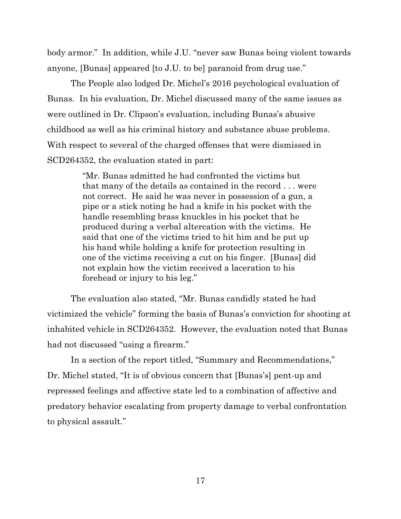body armor." In addition, while J.U. "never saw Bunas being violent towards anyone, [Bunas] appeared [to J.U. to be] paranoid from drug use."

The People also lodged Dr. Michel's 2016 psychological evaluation of Bunas. In his evaluation, Dr. Michel discussed many of the same issues as were outlined in Dr. Clipson's evaluation, including Bunas's abusive childhood as well as his criminal history and substance abuse problems. With respect to several of the charged offenses that were dismissed in SCD264352, the evaluation stated in part:

> "Mr. Bunas admitted he had confronted the victims but that many of the details as contained in the record . . . were not correct. He said he was never in possession of a gun, a pipe or a stick noting he had a knife in his pocket with the handle resembling brass knuckles in his pocket that he produced during a verbal altercation with the victims. He said that one of the victims tried to hit him and he put up his hand while holding a knife for protection resulting in one of the victims receiving a cut on his finger. [Bunas] did not explain how the victim received a laceration to his forehead or injury to his leg."

The evaluation also stated, "Mr. Bunas candidly stated he had victimized the vehicle" forming the basis of Bunas's conviction for shooting at inhabited vehicle in SCD264352. However, the evaluation noted that Bunas had not discussed "using a firearm."

In a section of the report titled, "Summary and Recommendations," Dr. Michel stated, "It is of obvious concern that [Bunas's] pent-up and repressed feelings and affective state led to a combination of affective and predatory behavior escalating from property damage to verbal confrontation to physical assault."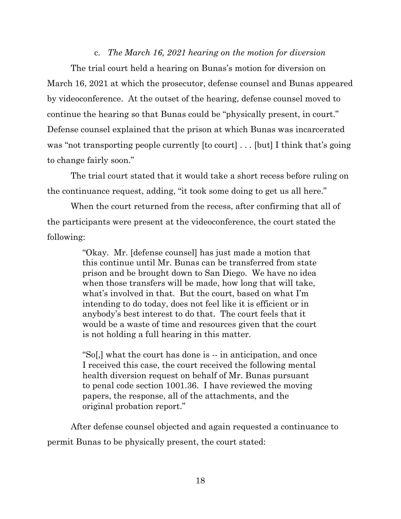#### c. *The March 16, 2021 hearing on the motion for diversion*

The trial court held a hearing on Bunas's motion for diversion on March 16, 2021 at which the prosecutor, defense counsel and Bunas appeared by videoconference. At the outset of the hearing, defense counsel moved to continue the hearing so that Bunas could be "physically present, in court." Defense counsel explained that the prison at which Bunas was incarcerated was "not transporting people currently [to court] . . . [but] I think that's going to change fairly soon."

The trial court stated that it would take a short recess before ruling on the continuance request, adding, "it took some doing to get us all here."

When the court returned from the recess, after confirming that all of the participants were present at the videoconference, the court stated the following:

> "Okay. Mr. [defense counsel] has just made a motion that this continue until Mr. Bunas can be transferred from state prison and be brought down to San Diego. We have no idea when those transfers will be made, how long that will take, what's involved in that. But the court, based on what I'm intending to do today, does not feel like it is efficient or in anybody's best interest to do that. The court feels that it would be a waste of time and resources given that the court is not holding a full hearing in this matter.

> "So[,] what the court has done is -- in anticipation, and once I received this case, the court received the following mental health diversion request on behalf of Mr. Bunas pursuant to penal code section 1001.36. I have reviewed the moving papers, the response, all of the attachments, and the original probation report."

After defense counsel objected and again requested a continuance to permit Bunas to be physically present, the court stated: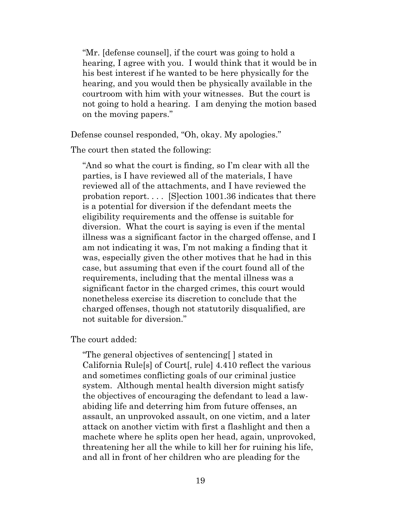"Mr. [defense counsel], if the court was going to hold a hearing, I agree with you. I would think that it would be in his best interest if he wanted to be here physically for the hearing, and you would then be physically available in the courtroom with him with your witnesses. But the court is not going to hold a hearing. I am denying the motion based on the moving papers."

Defense counsel responded, "Oh, okay. My apologies."

The court then stated the following:

"And so what the court is finding, so I'm clear with all the parties, is I have reviewed all of the materials, I have reviewed all of the attachments, and I have reviewed the probation report. . . . [S]ection 1001.36 indicates that there is a potential for diversion if the defendant meets the eligibility requirements and the offense is suitable for diversion. What the court is saying is even if the mental illness was a significant factor in the charged offense, and I am not indicating it was, I'm not making a finding that it was, especially given the other motives that he had in this case, but assuming that even if the court found all of the requirements, including that the mental illness was a significant factor in the charged crimes, this court would nonetheless exercise its discretion to conclude that the charged offenses, though not statutorily disqualified, are not suitable for diversion."

The court added:

"The general objectives of sentencing[ ] stated in California Rule[s] of Court[, rule] 4.410 reflect the various and sometimes conflicting goals of our criminal justice system. Although mental health diversion might satisfy the objectives of encouraging the defendant to lead a lawabiding life and deterring him from future offenses, an assault, an unprovoked assault, on one victim, and a later attack on another victim with first a flashlight and then a machete where he splits open her head, again, unprovoked, threatening her all the while to kill her for ruining his life, and all in front of her children who are pleading for the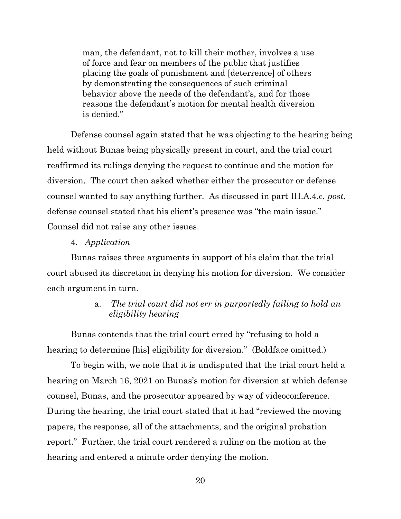man, the defendant, not to kill their mother, involves a use of force and fear on members of the public that justifies placing the goals of punishment and [deterrence] of others by demonstrating the consequences of such criminal behavior above the needs of the defendant's, and for those reasons the defendant's motion for mental health diversion is denied."

Defense counsel again stated that he was objecting to the hearing being held without Bunas being physically present in court, and the trial court reaffirmed its rulings denying the request to continue and the motion for diversion. The court then asked whether either the prosecutor or defense counsel wanted to say anything further. As discussed in part III.A.4.c, *post*, defense counsel stated that his client's presence was "the main issue." Counsel did not raise any other issues.

#### 4. *Application*

Bunas raises three arguments in support of his claim that the trial court abused its discretion in denying his motion for diversion. We consider each argument in turn.

# a. *The trial court did not err in purportedly failing to hold an eligibility hearing*

Bunas contends that the trial court erred by "refusing to hold a hearing to determine [his] eligibility for diversion." (Boldface omitted.)

To begin with, we note that it is undisputed that the trial court held a hearing on March 16, 2021 on Bunas's motion for diversion at which defense counsel, Bunas, and the prosecutor appeared by way of videoconference. During the hearing, the trial court stated that it had "reviewed the moving papers, the response, all of the attachments, and the original probation report." Further, the trial court rendered a ruling on the motion at the hearing and entered a minute order denying the motion.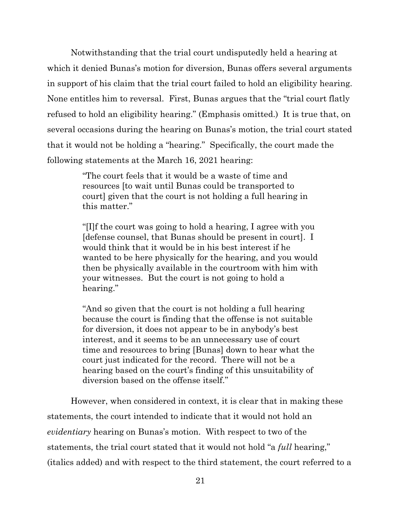Notwithstanding that the trial court undisputedly held a hearing at which it denied Bunas's motion for diversion, Bunas offers several arguments in support of his claim that the trial court failed to hold an eligibility hearing. None entitles him to reversal. First, Bunas argues that the "trial court flatly refused to hold an eligibility hearing." (Emphasis omitted.) It is true that, on several occasions during the hearing on Bunas's motion, the trial court stated that it would not be holding a "hearing." Specifically, the court made the following statements at the March 16, 2021 hearing:

> "The court feels that it would be a waste of time and resources [to wait until Bunas could be transported to court] given that the court is not holding a full hearing in this matter."

"[I]f the court was going to hold a hearing, I agree with you [defense counsel, that Bunas should be present in court]. I would think that it would be in his best interest if he wanted to be here physically for the hearing, and you would then be physically available in the courtroom with him with your witnesses. But the court is not going to hold a hearing."

"And so given that the court is not holding a full hearing because the court is finding that the offense is not suitable for diversion, it does not appear to be in anybody's best interest, and it seems to be an unnecessary use of court time and resources to bring [Bunas] down to hear what the court just indicated for the record. There will not be a hearing based on the court's finding of this unsuitability of diversion based on the offense itself."

However, when considered in context, it is clear that in making these statements, the court intended to indicate that it would not hold an *evidentiary* hearing on Bunas's motion. With respect to two of the statements, the trial court stated that it would not hold "a *full* hearing," (italics added) and with respect to the third statement, the court referred to a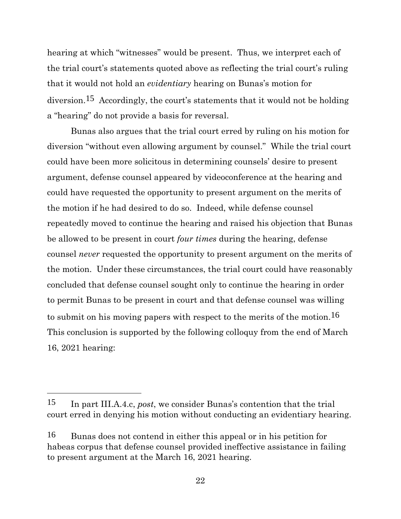hearing at which "witnesses" would be present. Thus, we interpret each of the trial court's statements quoted above as reflecting the trial court's ruling that it would not hold an *evidentiary* hearing on Bunas's motion for diversion.15 Accordingly, the court's statements that it would not be holding a "hearing" do not provide a basis for reversal.

Bunas also argues that the trial court erred by ruling on his motion for diversion "without even allowing argument by counsel." While the trial court could have been more solicitous in determining counsels' desire to present argument, defense counsel appeared by videoconference at the hearing and could have requested the opportunity to present argument on the merits of the motion if he had desired to do so. Indeed, while defense counsel repeatedly moved to continue the hearing and raised his objection that Bunas be allowed to be present in court *four times* during the hearing, defense counsel *never* requested the opportunity to present argument on the merits of the motion. Under these circumstances, the trial court could have reasonably concluded that defense counsel sought only to continue the hearing in order to permit Bunas to be present in court and that defense counsel was willing to submit on his moving papers with respect to the merits of the motion.16 This conclusion is supported by the following colloquy from the end of March 16, 2021 hearing:

<sup>15</sup> In part III.A.4.c, *post*, we consider Bunas's contention that the trial court erred in denying his motion without conducting an evidentiary hearing.

<sup>16</sup> Bunas does not contend in either this appeal or in his petition for habeas corpus that defense counsel provided ineffective assistance in failing to present argument at the March 16, 2021 hearing.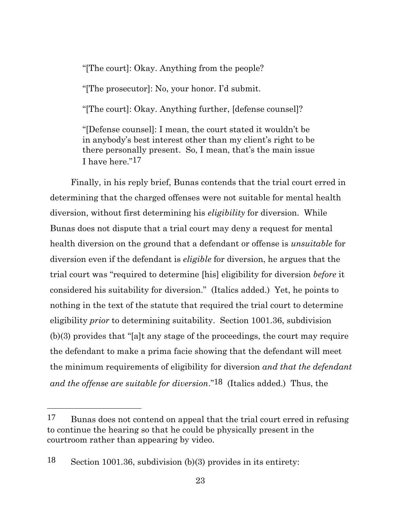"[The court]: Okay. Anything from the people?

"[The prosecutor]: No, your honor. I'd submit.

"[The court]: Okay. Anything further, [defense counsel]?

"[Defense counsel]: I mean, the court stated it wouldn't be in anybody's best interest other than my client's right to be there personally present. So, I mean, that's the main issue I have here."17

Finally, in his reply brief, Bunas contends that the trial court erred in determining that the charged offenses were not suitable for mental health diversion, without first determining his *eligibility* for diversion. While Bunas does not dispute that a trial court may deny a request for mental health diversion on the ground that a defendant or offense is *unsuitable* for diversion even if the defendant is *eligible* for diversion, he argues that the trial court was "required to determine [his] eligibility for diversion *before* it considered his suitability for diversion." (Italics added.) Yet, he points to nothing in the text of the statute that required the trial court to determine eligibility *prior* to determining suitability. Section 1001.36, subdivision (b)(3) provides that "[a]t any stage of the proceedings, the court may require the defendant to make a prima facie showing that the defendant will meet the minimum requirements of eligibility for diversion *and that the defendant and the offense are suitable for diversion*."18 (Italics added.) Thus, the

<sup>17</sup> Bunas does not contend on appeal that the trial court erred in refusing to continue the hearing so that he could be physically present in the courtroom rather than appearing by video.

<sup>18</sup> Section 1001.36, subdivision (b)(3) provides in its entirety: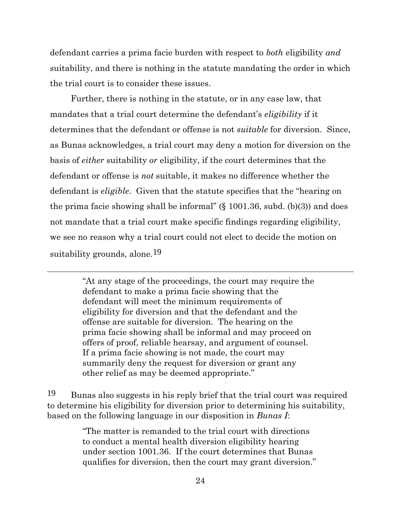defendant carries a prima facie burden with respect to *both* eligibility *and* suitability, and there is nothing in the statute mandating the order in which the trial court is to consider these issues.

Further, there is nothing in the statute, or in any case law, that mandates that a trial court determine the defendant's *eligibility* if it determines that the defendant or offense is not *suitable* for diversion. Since, as Bunas acknowledges, a trial court may deny a motion for diversion on the basis of *either* suitability *or* eligibility, if the court determines that the defendant or offense is *not* suitable, it makes no difference whether the defendant is *eligible*. Given that the statute specifies that the "hearing on the prima facie showing shall be informal" (§ 1001.36, subd. (b)(3)) and does not mandate that a trial court make specific findings regarding eligibility, we see no reason why a trial court could not elect to decide the motion on suitability grounds, alone.<sup>19</sup>

> "At any stage of the proceedings, the court may require the defendant to make a prima facie showing that the defendant will meet the minimum requirements of eligibility for diversion and that the defendant and the offense are suitable for diversion. The hearing on the prima facie showing shall be informal and may proceed on offers of proof, reliable hearsay, and argument of counsel. If a prima facie showing is not made, the court may summarily deny the request for diversion or grant any other relief as may be deemed appropriate."

19 Bunas also suggests in his reply brief that the trial court was required to determine his eligibility for diversion prior to determining his suitability, based on the following language in our disposition in *Bunas I*:

> "The matter is remanded to the trial court with directions to conduct a mental health diversion eligibility hearing under section 1001.36. If the court determines that Bunas qualifies for diversion, then the court may grant diversion."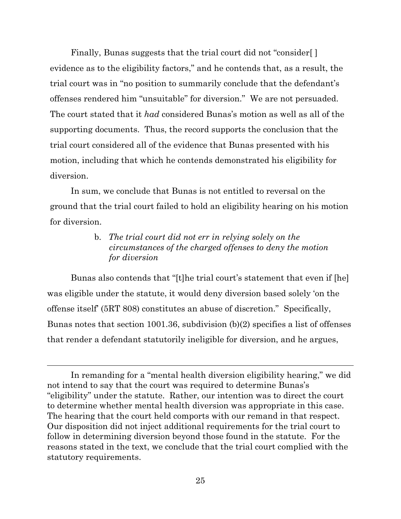Finally, Bunas suggests that the trial court did not "consider[ ] evidence as to the eligibility factors," and he contends that, as a result, the trial court was in "no position to summarily conclude that the defendant's offenses rendered him "unsuitable" for diversion." We are not persuaded. The court stated that it *had* considered Bunas's motion as well as all of the supporting documents. Thus, the record supports the conclusion that the trial court considered all of the evidence that Bunas presented with his motion, including that which he contends demonstrated his eligibility for diversion.

In sum, we conclude that Bunas is not entitled to reversal on the ground that the trial court failed to hold an eligibility hearing on his motion for diversion.

# b. *The trial court did not err in relying solely on the circumstances of the charged offenses to deny the motion for diversion*

Bunas also contends that "[t]he trial court's statement that even if [he] was eligible under the statute, it would deny diversion based solely 'on the offense itself' (5RT 808) constitutes an abuse of discretion." Specifically, Bunas notes that section 1001.36, subdivision (b)(2) specifies a list of offenses that render a defendant statutorily ineligible for diversion, and he argues,

In remanding for a "mental health diversion eligibility hearing," we did not intend to say that the court was required to determine Bunas's "eligibility" under the statute. Rather, our intention was to direct the court to determine whether mental health diversion was appropriate in this case. The hearing that the court held comports with our remand in that respect. Our disposition did not inject additional requirements for the trial court to follow in determining diversion beyond those found in the statute. For the reasons stated in the text, we conclude that the trial court complied with the statutory requirements.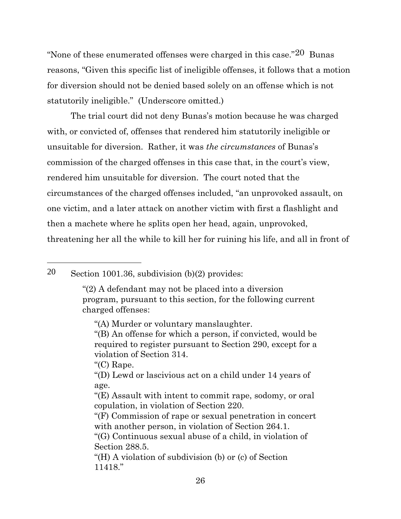"None of these enumerated offenses were charged in this case."20 Bunas reasons, "Given this specific list of ineligible offenses, it follows that a motion for diversion should not be denied based solely on an offense which is not statutorily ineligible." (Underscore omitted.)

The trial court did not deny Bunas's motion because he was charged with, or convicted of, offenses that rendered him statutorily ineligible or unsuitable for diversion. Rather, it was *the circumstances* of Bunas's commission of the charged offenses in this case that, in the court's view, rendered him unsuitable for diversion. The court noted that the circumstances of the charged offenses included, "an unprovoked assault, on one victim, and a later attack on another victim with first a flashlight and then a machete where he splits open her head, again, unprovoked, threatening her all the while to kill her for ruining his life, and all in front of

# 20 Section 1001.36, subdivision (b)(2) provides:

"(C) Rape.

<sup>&</sup>quot;(2) A defendant may not be placed into a diversion program, pursuant to this section, for the following current charged offenses:

<sup>&</sup>quot;(A) Murder or voluntary manslaughter.

<sup>&</sup>quot;(B) An offense for which a person, if convicted, would be required to register pursuant to Section 290, except for a violation of Section 314.

<sup>&</sup>quot;(D) Lewd or lascivious act on a child under 14 years of age.

<sup>&</sup>quot;(E) Assault with intent to commit rape, sodomy, or oral copulation, in violation of Section 220.

<sup>&</sup>quot;(F) Commission of rape or sexual penetration in concert with another person, in violation of Section 264.1.

<sup>&</sup>quot;(G) Continuous sexual abuse of a child, in violation of Section 288.5.

<sup>&</sup>quot;(H) A violation of subdivision (b) or (c) of Section 11418."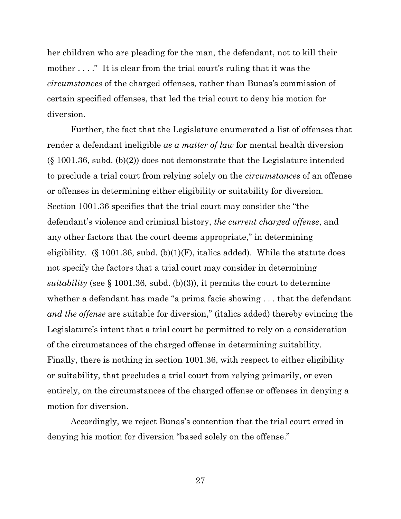her children who are pleading for the man, the defendant, not to kill their mother . . . ." It is clear from the trial court's ruling that it was the *circumstances* of the charged offenses, rather than Bunas's commission of certain specified offenses, that led the trial court to deny his motion for diversion.

Further, the fact that the Legislature enumerated a list of offenses that render a defendant ineligible *as a matter of law* for mental health diversion  $(\S 1001.36, \text{subd. (b)}(2))$  does not demonstrate that the Legislature intended to preclude a trial court from relying solely on the *circumstances* of an offense or offenses in determining either eligibility or suitability for diversion. Section 1001.36 specifies that the trial court may consider the "the defendant's violence and criminal history, *the current charged offense*, and any other factors that the court deems appropriate," in determining eligibility. (§ 1001.36, subd.  $(b)(1)(F)$ , italics added). While the statute does not specify the factors that a trial court may consider in determining *suitability* (see § 1001.36, subd. (b)(3)), it permits the court to determine whether a defendant has made "a prima facie showing . . . that the defendant *and the offense* are suitable for diversion," (italics added) thereby evincing the Legislature's intent that a trial court be permitted to rely on a consideration of the circumstances of the charged offense in determining suitability. Finally, there is nothing in section 1001.36, with respect to either eligibility or suitability, that precludes a trial court from relying primarily, or even entirely, on the circumstances of the charged offense or offenses in denying a motion for diversion.

Accordingly, we reject Bunas's contention that the trial court erred in denying his motion for diversion "based solely on the offense."

27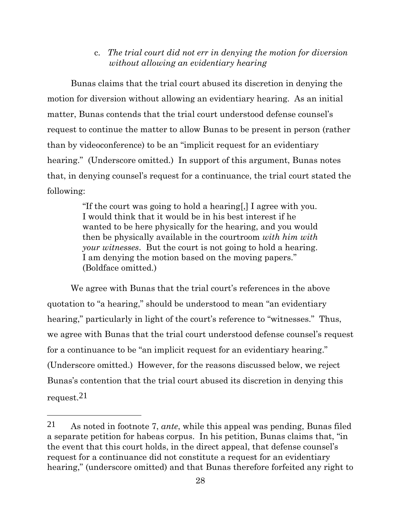# c. *The trial court did not err in denying the motion for diversion without allowing an evidentiary hearing*

Bunas claims that the trial court abused its discretion in denying the motion for diversion without allowing an evidentiary hearing. As an initial matter, Bunas contends that the trial court understood defense counsel's request to continue the matter to allow Bunas to be present in person (rather than by videoconference) to be an "implicit request for an evidentiary hearing." (Underscore omitted.) In support of this argument, Bunas notes that, in denying counsel's request for a continuance, the trial court stated the following:

> "If the court was going to hold a hearing[,] I agree with you. I would think that it would be in his best interest if he wanted to be here physically for the hearing, and you would then be physically available in the courtroom *with him with your witnesses*. But the court is not going to hold a hearing. I am denying the motion based on the moving papers." (Boldface omitted.)

We agree with Bunas that the trial court's references in the above quotation to "a hearing," should be understood to mean "an evidentiary hearing," particularly in light of the court's reference to "witnesses." Thus, we agree with Bunas that the trial court understood defense counsel's request for a continuance to be "an implicit request for an evidentiary hearing." (Underscore omitted.) However, for the reasons discussed below, we reject Bunas's contention that the trial court abused its discretion in denying this request.21

<sup>21</sup> As noted in footnote 7, *ante*, while this appeal was pending, Bunas filed a separate petition for habeas corpus. In his petition, Bunas claims that, "in the event that this court holds, in the direct appeal, that defense counsel's request for a continuance did not constitute a request for an evidentiary hearing," (underscore omitted) and that Bunas therefore forfeited any right to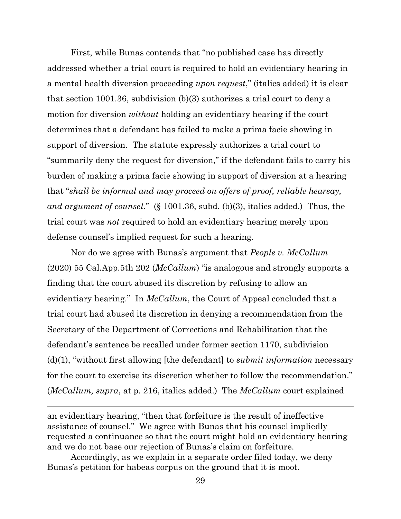First, while Bunas contends that "no published case has directly addressed whether a trial court is required to hold an evidentiary hearing in a mental health diversion proceeding *upon request*," (italics added) it is clear that section 1001.36, subdivision (b)(3) authorizes a trial court to deny a motion for diversion *without* holding an evidentiary hearing if the court determines that a defendant has failed to make a prima facie showing in support of diversion. The statute expressly authorizes a trial court to "summarily deny the request for diversion," if the defendant fails to carry his burden of making a prima facie showing in support of diversion at a hearing that "*shall be informal and may proceed on offers of proof, reliable hearsay, and argument of counsel*." (§ 1001.36, subd. (b)(3), italics added.) Thus, the trial court was *not* required to hold an evidentiary hearing merely upon defense counsel's implied request for such a hearing.

Nor do we agree with Bunas's argument that *People v. McCallum*  (2020) 55 Cal.App.5th 202 (*McCallum*) "is analogous and strongly supports a finding that the court abused its discretion by refusing to allow an evidentiary hearing." In *McCallum*, the Court of Appeal concluded that a trial court had abused its discretion in denying a recommendation from the Secretary of the Department of Corrections and Rehabilitation that the defendant's sentence be recalled under former section 1170, subdivision (d)(1), "without first allowing [the defendant] to *submit information* necessary for the court to exercise its discretion whether to follow the recommendation." (*McCallum, supra*, at p. 216, italics added.) The *McCallum* court explained

an evidentiary hearing, "then that forfeiture is the result of ineffective assistance of counsel." We agree with Bunas that his counsel impliedly requested a continuance so that the court might hold an evidentiary hearing and we do not base our rejection of Bunas's claim on forfeiture.

Accordingly, as we explain in a separate order filed today, we deny Bunas's petition for habeas corpus on the ground that it is moot.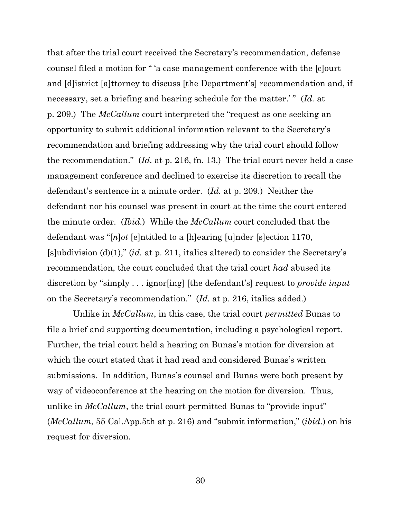that after the trial court received the Secretary's recommendation, defense counsel filed a motion for " 'a case management conference with the [c]ourt and [d]istrict [a]ttorney to discuss [the Department's] recommendation and, if necessary, set a briefing and hearing schedule for the matter.' " (*Id.* at p. 209.) The *McCallum* court interpreted the "request as one seeking an opportunity to submit additional information relevant to the Secretary's recommendation and briefing addressing why the trial court should follow the recommendation." (*Id.* at p. 216, fn. 13.) The trial court never held a case management conference and declined to exercise its discretion to recall the defendant's sentence in a minute order. (*Id.* at p. 209.) Neither the defendant nor his counsel was present in court at the time the court entered the minute order. (*Ibid.*) While the *McCallum* court concluded that the defendant was "[*n*]*ot* [e]ntitled to a [h]earing [u]nder [s]ection 1170, [s]ubdivision (d)(1)," (*id.* at p. 211, italics altered) to consider the Secretary's recommendation, the court concluded that the trial court *had* abused its discretion by "simply . . . ignor[ing] [the defendant's] request to *provide input* on the Secretary's recommendation." (*Id.* at p. 216, italics added.)

Unlike in *McCallum*, in this case, the trial court *permitted* Bunas to file a brief and supporting documentation, including a psychological report. Further, the trial court held a hearing on Bunas's motion for diversion at which the court stated that it had read and considered Bunas's written submissions. In addition, Bunas's counsel and Bunas were both present by way of videoconference at the hearing on the motion for diversion. Thus, unlike in *McCallum*, the trial court permitted Bunas to "provide input" (*McCallum*, 55 Cal.App.5th at p. 216) and "submit information," (*ibid.*) on his request for diversion.

30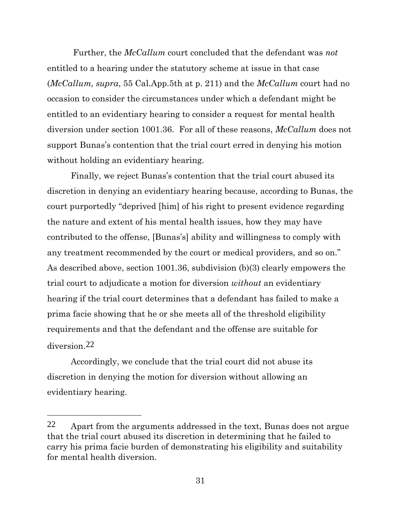Further, the *McCallum* court concluded that the defendant was *not* entitled to a hearing under the statutory scheme at issue in that case (*McCallum, supra*, 55 Cal.App.5th at p. 211) and the *McCallum* court had no occasion to consider the circumstances under which a defendant might be entitled to an evidentiary hearing to consider a request for mental health diversion under section 1001.36. For all of these reasons, *McCallum* does not support Bunas's contention that the trial court erred in denying his motion without holding an evidentiary hearing.

Finally, we reject Bunas's contention that the trial court abused its discretion in denying an evidentiary hearing because, according to Bunas, the court purportedly "deprived [him] of his right to present evidence regarding the nature and extent of his mental health issues, how they may have contributed to the offense, [Bunas's] ability and willingness to comply with any treatment recommended by the court or medical providers, and so on." As described above, section 1001.36, subdivision (b)(3) clearly empowers the trial court to adjudicate a motion for diversion *without* an evidentiary hearing if the trial court determines that a defendant has failed to make a prima facie showing that he or she meets all of the threshold eligibility requirements and that the defendant and the offense are suitable for diversion.22

Accordingly, we conclude that the trial court did not abuse its discretion in denying the motion for diversion without allowing an evidentiary hearing.

<sup>22</sup> Apart from the arguments addressed in the text, Bunas does not argue that the trial court abused its discretion in determining that he failed to carry his prima facie burden of demonstrating his eligibility and suitability for mental health diversion.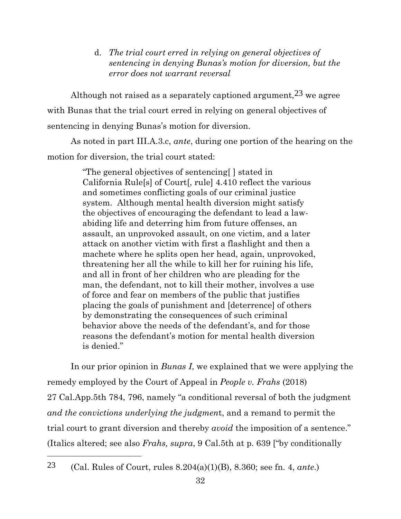d. *The trial court erred in relying on general objectives of sentencing in denying Bunas's motion for diversion, but the error does not warrant reversal*

Although not raised as a separately captioned argument,  $23$  we agree with Bunas that the trial court erred in relying on general objectives of sentencing in denying Bunas's motion for diversion.

As noted in part III.A.3.c, *ante*, during one portion of the hearing on the motion for diversion, the trial court stated:

> "The general objectives of sentencing[ ] stated in California Rule[s] of Court[, rule] 4.410 reflect the various and sometimes conflicting goals of our criminal justice system. Although mental health diversion might satisfy the objectives of encouraging the defendant to lead a lawabiding life and deterring him from future offenses, an assault, an unprovoked assault, on one victim, and a later attack on another victim with first a flashlight and then a machete where he splits open her head, again, unprovoked, threatening her all the while to kill her for ruining his life, and all in front of her children who are pleading for the man, the defendant, not to kill their mother, involves a use of force and fear on members of the public that justifies placing the goals of punishment and [deterrence] of others by demonstrating the consequences of such criminal behavior above the needs of the defendant's, and for those reasons the defendant's motion for mental health diversion is denied."

In our prior opinion in *Bunas I*, we explained that we were applying the remedy employed by the Court of Appeal in *People v. Frahs* (2018) 27 Cal.App.5th 784, 796, namely "a conditional reversal of both the judgment *and the convictions underlying the judgmen*t, and a remand to permit the trial court to grant diversion and thereby *avoid* the imposition of a sentence." (Italics altered; see also *Frahs, supra*, 9 Cal.5th at p. 639 ["by conditionally

23 (Cal. Rules of Court, rules 8.204(a)(1)(B), 8.360; see fn. 4, *ante*.)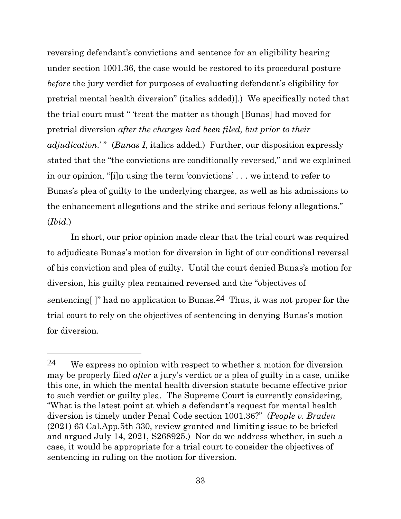reversing defendant's convictions and sentence for an eligibility hearing under section 1001.36, the case would be restored to its procedural posture *before* the jury verdict for purposes of evaluating defendant's eligibility for pretrial mental health diversion" (italics added)].) We specifically noted that the trial court must " 'treat the matter as though [Bunas] had moved for pretrial diversion *after the charges had been filed, but prior to their adjudication*.' " (*Bunas I*, italics added.) Further, our disposition expressly stated that the "the convictions are conditionally reversed," and we explained in our opinion, "[i]n using the term 'convictions' . . . we intend to refer to Bunas's plea of guilty to the underlying charges, as well as his admissions to the enhancement allegations and the strike and serious felony allegations." (*Ibid.*)

In short, our prior opinion made clear that the trial court was required to adjudicate Bunas's motion for diversion in light of our conditional reversal of his conviction and plea of guilty. Until the court denied Bunas's motion for diversion, his guilty plea remained reversed and the "objectives of sentencing[]" had no application to Bunas.<sup>24</sup> Thus, it was not proper for the trial court to rely on the objectives of sentencing in denying Bunas's motion for diversion.

<sup>24</sup> We express no opinion with respect to whether a motion for diversion may be properly filed *after* a jury's verdict or a plea of guilty in a case, unlike this one, in which the mental health diversion statute became effective prior to such verdict or guilty plea. The Supreme Court is currently considering, "What is the latest point at which a defendant's request for mental health diversion is timely under Penal Code section 1001.36?" (*People v. Braden* (2021) 63 Cal.App.5th 330, review granted and limiting issue to be briefed and argued July 14, 2021, S268925.) Nor do we address whether, in such a case, it would be appropriate for a trial court to consider the objectives of sentencing in ruling on the motion for diversion.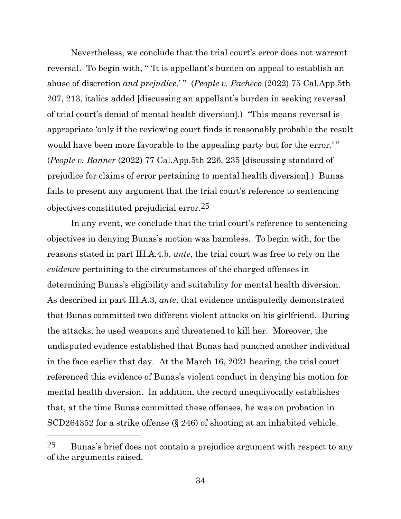Nevertheless, we conclude that the trial court's error does not warrant reversal. To begin with, " 'It is appellant's burden on appeal to establish an abuse of discretion *and prejudice*.' " (*People v. Pacheco* (2022) 75 Cal.App.5th 207, 213, italics added [discussing an appellant's burden in seeking reversal of trial court's denial of mental health diversion].) "This means reversal is appropriate 'only if the reviewing court finds it reasonably probable the result would have been more favorable to the appealing party but for the error.'" (*People v. Banner* (2022) 77 Cal.App.5th 226, 235 [discussing standard of prejudice for claims of error pertaining to mental health diversion].) Bunas fails to present any argument that the trial court's reference to sentencing objectives constituted prejudicial error.25

In any event, we conclude that the trial court's reference to sentencing objectives in denying Bunas's motion was harmless. To begin with, for the reasons stated in part III.A.4.b, *ante*, the trial court was free to rely on the *evidence* pertaining to the circumstances of the charged offenses in determining Bunas's eligibility and suitability for mental health diversion. As described in part III.A.3, *ante*, that evidence undisputedly demonstrated that Bunas committed two different violent attacks on his girlfriend. During the attacks, he used weapons and threatened to kill her. Moreover, the undisputed evidence established that Bunas had punched another individual in the face earlier that day. At the March 16, 2021 hearing, the trial court referenced this evidence of Bunas's violent conduct in denying his motion for mental health diversion. In addition, the record unequivocally establishes that, at the time Bunas committed these offenses, he was on probation in SCD264352 for a strike offense (§ 246) of shooting at an inhabited vehicle.

<sup>25</sup> Bunas's brief does not contain a prejudice argument with respect to any of the arguments raised.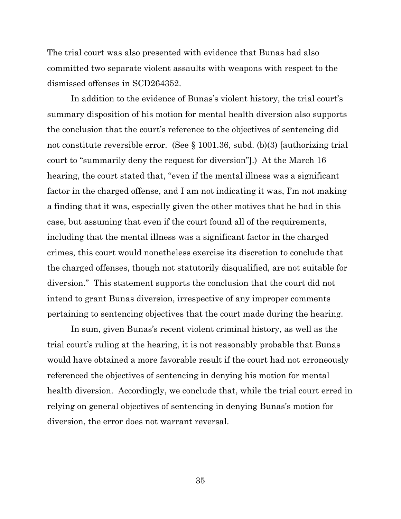The trial court was also presented with evidence that Bunas had also committed two separate violent assaults with weapons with respect to the dismissed offenses in SCD264352.

In addition to the evidence of Bunas's violent history, the trial court's summary disposition of his motion for mental health diversion also supports the conclusion that the court's reference to the objectives of sentencing did not constitute reversible error. (See § 1001.36, subd. (b)(3) [authorizing trial court to "summarily deny the request for diversion"].) At the March 16 hearing, the court stated that, "even if the mental illness was a significant factor in the charged offense, and I am not indicating it was, I'm not making a finding that it was, especially given the other motives that he had in this case, but assuming that even if the court found all of the requirements, including that the mental illness was a significant factor in the charged crimes, this court would nonetheless exercise its discretion to conclude that the charged offenses, though not statutorily disqualified, are not suitable for diversion." This statement supports the conclusion that the court did not intend to grant Bunas diversion, irrespective of any improper comments pertaining to sentencing objectives that the court made during the hearing.

In sum, given Bunas's recent violent criminal history, as well as the trial court's ruling at the hearing, it is not reasonably probable that Bunas would have obtained a more favorable result if the court had not erroneously referenced the objectives of sentencing in denying his motion for mental health diversion. Accordingly, we conclude that, while the trial court erred in relying on general objectives of sentencing in denying Bunas's motion for diversion, the error does not warrant reversal.

35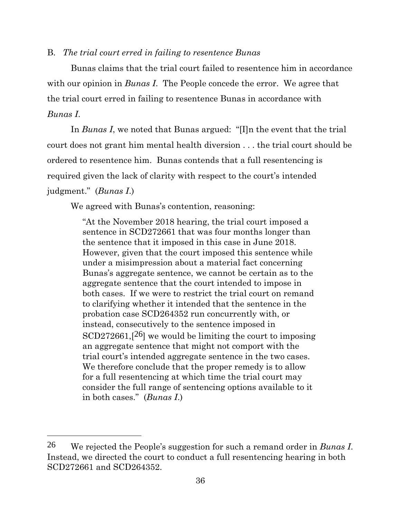#### B. *The trial court erred in failing to resentence Bunas*

Bunas claims that the trial court failed to resentence him in accordance with our opinion in *Bunas I*. The People concede the error. We agree that the trial court erred in failing to resentence Bunas in accordance with *Bunas I*.

In *Bunas I*, we noted that Bunas argued: "[I]n the event that the trial court does not grant him mental health diversion . . . the trial court should be ordered to resentence him. Bunas contends that a full resentencing is required given the lack of clarity with respect to the court's intended judgment." (*Bunas I*.)

We agreed with Bunas's contention, reasoning:

"At the November 2018 hearing, the trial court imposed a sentence in SCD272661 that was four months longer than the sentence that it imposed in this case in June 2018. However, given that the court imposed this sentence while under a misimpression about a material fact concerning Bunas's aggregate sentence, we cannot be certain as to the aggregate sentence that the court intended to impose in both cases. If we were to restrict the trial court on remand to clarifying whether it intended that the sentence in the probation case SCD264352 run concurrently with, or instead, consecutively to the sentence imposed in  $SCD272661$ ,  $[26]$  we would be limiting the court to imposing an aggregate sentence that might not comport with the trial court's intended aggregate sentence in the two cases. We therefore conclude that the proper remedy is to allow for a full resentencing at which time the trial court may consider the full range of sentencing options available to it in both cases." (*Bunas I*.)

<sup>26</sup> We rejected the People's suggestion for such a remand order in *Bunas I*. Instead, we directed the court to conduct a full resentencing hearing in both SCD272661 and SCD264352.